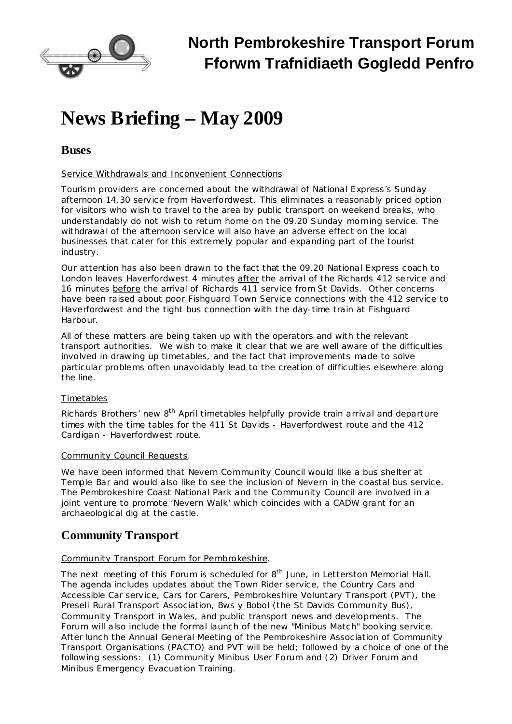

# **News Briefing – May 2009**

## **Buses**

#### Service Withdrawals and Inconvenient Connections

Tourism providers are concerned about the withdrawal of National Express's Sunday afternoon 14.30 service from Haverfordwest. This eliminates a reasonably priced option for visitors who wish to travel to the area by public transport on weekend breaks, who understandably do not wish to return home on the 09.20 Sunday morning service. The withdrawal of the afternoon service will also have an adverse effect on the local businesses that cater for this extremely popular and expanding part of the tourist industry.

Our attention has also been drawn to the fact that the 09.20 National Express coach to London leaves Haverfordwest 4 minutes *after* the arrival of the Richards 412 service and 16 minutes *before* the arrival of Richards 411 service from St Davids. Other concerns have been raised about poor Fishguard Town Service connections with the 412 service to Haverfordwest and the tight bus connection with the day-time train at Fishguard Harbour.

All of these matters are being taken up with the operators and with the relevant transport authorities. We wish to make it clear that we are well aware of the difficulties involved in drawing up timetables, and the fact that improvements made to solve particular problems often unavoidably lead to the creation of difficulties elsewhere along the line.

### Timetables

Richards Brothers' new 8<sup>th</sup> April timetables helpfully provide train arrival and departure times with the time tables for the 411 St Davids - Haverfordwest route and the 412 Cardigan - Haverfordwest route.

#### Community Council Requests.

We have been informed that Nevern Community Council would like a bus shelter at Temple Bar and would also like to see the inclusion of Nevern in the coastal bus service. The Pembrokeshire Coast National Park and the Community Council are involved in a joint venture to promote 'Nevern Walk' which coincides with a CADW grant for an archaeological dig at the castle.

# **Community Transport**

#### Community Transport Forum for Pembrokeshire.

The next meeting of this Forum is scheduled for 8<sup>th</sup> June, in Letterston Memorial Hall. The agenda includes updates about the Town Rider service, the Country Cars and Accessible Car service, Cars for Carers, Pembrokeshire Voluntary Transport (PVT), the Preseli Rural Transport Association, Bws y Bobol (the St Davids Community Bus), Community Transport in Wales, and public transport news and developments. The Forum will also include the formal launch of the new "Minibus Match" booking service. After lunch the Annual General Meeting of the Pembrokeshire Association of Community Transport Organisations (PACTO) and PVT will be held; followed by a choice of one of the following sessions: (1) Community Minibus User Forum and (2) Driver Forum and Minibus Emergency Evacuation Training.